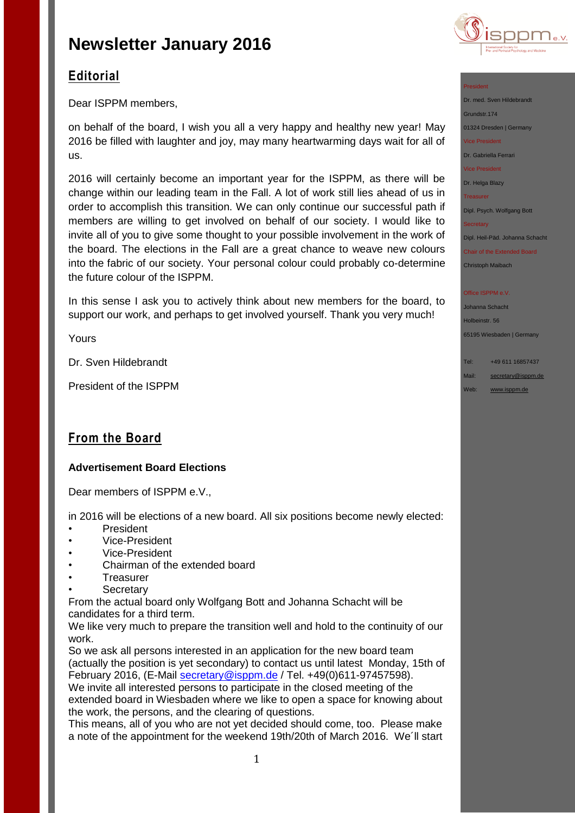

# **Editorial**

Dear ISPPM members,

on behalf of the board, I wish you all a very happy and healthy new year! May 2016 be filled with laughter and joy, may many heartwarming days wait for all of us.

2016 will certainly become an important year for the ISPPM, as there will be change within our leading team in the Fall. A lot of work still lies ahead of us in order to accomplish this transition. We can only continue our successful path if members are willing to get involved on behalf of our society. I would like to invite all of you to give some thought to your possible involvement in the work of the board. The elections in the Fall are a great chance to weave new colours into the fabric of our society. Your personal colour could probably co-determine the future colour of the ISPPM.

In this sense I ask you to actively think about new members for the board, to support our work, and perhaps to get involved yourself. Thank you very much!

Yours

Dr. Sven Hildebrandt

President of the ISPPM

## **From the Board**

### **Advertisement Board Elections**

Dear members of ISPPM e.V.,

in 2016 will be elections of a new board. All six positions become newly elected:

- **President**
- Vice-President
- Vice-President
- Chairman of the extended board
- **Treasurer**
- **Secretary**

From the actual board only Wolfgang Bott and Johanna Schacht will be candidates for a third term.

We like very much to prepare the transition well and hold to the continuity of our work.

So we ask all persons interested in an application for the new board team (actually the position is yet secondary) to contact us until latest Monday, 15th of February 2016, (E-Mail [secretary@isppm.de](mailto:secretary@isppm.de) / Tel. +49(0)611-97457598). We invite all interested persons to participate in the closed meeting of the

extended board in Wiesbaden where we like to open a space for knowing about the work, the persons, and the clearing of questions.

This means, all of you who are not yet decided should come, too. Please make a note of the appointment for the weekend 19th/20th of March 2016. We´ll start Dipl. Psych. Wolfgang Bott

**Secretary** 

President

Dipl. Heil-Päd. Johanna Schacht

Chair of the Extended Board Christoph Maibach

#### Office ISPPM e.V

Johanna Schacht Holbeinstr. 56 65195 Wiesbaden | Germany

Tel: +49 611 16857437 Mail: [secretary@isppm.de](mailto:secretary@isppm.de)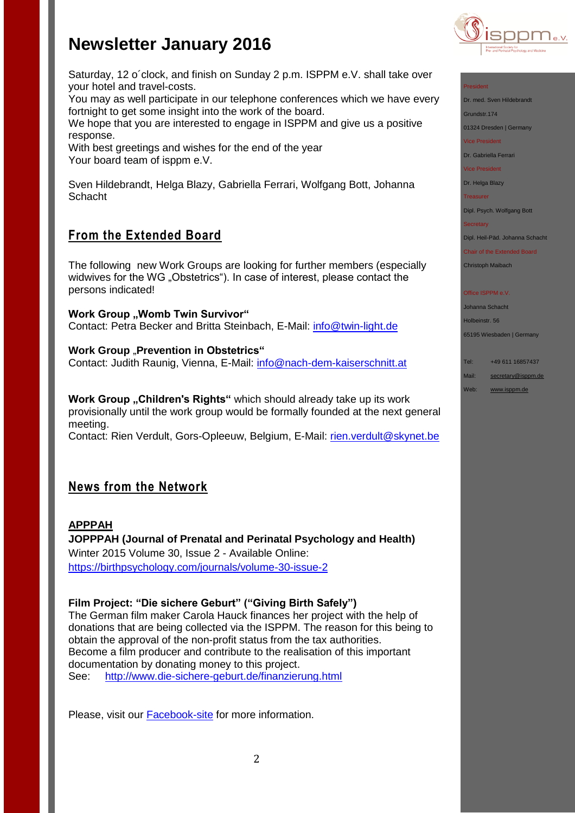



You may as well participate in our telephone conferences which we have every fortnight to get some insight into the work of the board.

We hope that you are interested to engage in ISPPM and give us a positive response.

With best greetings and wishes for the end of the year Your board team of isppm e.V.

Sven Hildebrandt, Helga Blazy, Gabriella Ferrari, Wolfgang Bott, Johanna **Schacht** 

## **From the Extended Board**

The following new Work Groups are looking for further members (especially widwives for the WG "Obstetrics"). In case of interest, please contact the persons indicated!

**Work Group , Womb Twin Survivor"** Contact: Petra Becker and Britta Steinbach, E-Mail: [info@twin-light.de](mailto:info@twin-light.de)

**Work Group** "Prevention in Obstetrics" Contact: Judith Raunig, Vienna, E-Mail: [info@nach-dem-kaiserschnitt.at](mailto:info@nach-dem-kaiserschnitt.at)

**Work Group "Children's Rights"** which should already take up its work provisionally until the work group would be formally founded at the next general meeting.

Contact: Rien Verdult, Gors-Opleeuw, Belgium, E-Mail: [rien.verdult@skynet.be](mailto:rien.verdult@skynet.be)

## **News from the Network**

**APPPAH JOPPPAH (Journal of Prenatal and Perinatal Psychology and Health)**  Winter 2015 Volume 30, Issue 2 - Available Online: <https://birthpsychology.com/journals/volume-30-issue-2>

### **Film Project: "Die sichere Geburt" ("Giving Birth Safely")**

The German film maker Carola Hauck finances her project with the help of donations that are being collected via the ISPPM. The reason for this being to obtain the approval of the non-profit status from the tax authorities. Become a film producer and contribute to the realisation of this important documentation by donating money to this project. See: <http://www.die-sichere-geburt.de/finanzierung.html>

Please, visit our [Facebook-site](https://www.facebook.com/pages/ISPPM-eV/124066644364106) for more information.



### President

Dr. med. Sven Hildebrandt

Grundstr.174

01324 Dresden | Germany

Vice President

Dr. Gabriella Ferrari

Vice President

Dr. Helga Blazy

**Treasurer** 

Dipl. Psych. Wolfgang Bott

**Secretary** 

Dipl. Heil-Päd. Johanna Schacht

Chair of the Extended Board Christoph Maibach

Office ISPPM e.V

Johanna Schacht Holbeinstr. 56 65195 Wiesbaden | Germany

Tel: +49 611 16857437 Mail: [secretary@isppm.de](mailto:secretary@isppm.de)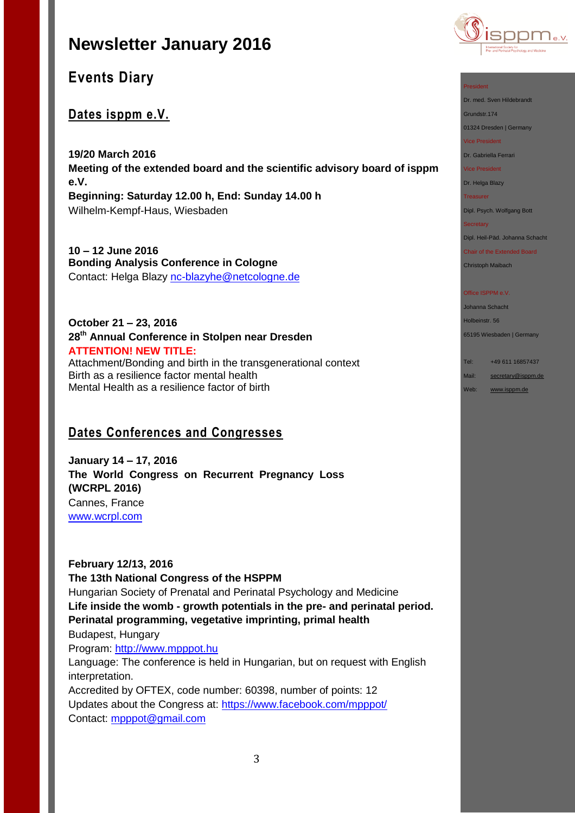

## **Dates isppm e.V.**

**19/20 March 2016 Meeting of the extended board and the scientific advisory board of isppm e.V. Beginning: Saturday 12.00 h, End: Sunday 14.00 h** Wilhelm-Kempf-Haus, Wiesbaden

**10 – 12 June 2016 Bonding Analysis Conference in Cologne** Contact: Helga Blazy [nc-blazyhe@netcologne.de](mailto:nc-blazyhe@netcologne.de)

### **October 21 – 23, 2016 28th Annual Conference in Stolpen near Dresden ATTENTION! NEW TITLE:** Attachment/Bonding and birth in the transgenerational context Birth as a resilience factor mental health

Mental Health as a resilience factor of birth

## **Dates Conferences and Congresses**

**January 14 – 17, 2016 The World Congress on Recurrent Pregnancy Loss (WCRPL 2016)** Cannes, France [www.wcrpl.com](http://www.wcrpl.com/)

**February 12/13, 2016 The 13th National Congress of the HSPPM**  Hungarian Society of Prenatal and Perinatal Psychology and Medicine **Life inside the womb - growth potentials in the pre- and perinatal period. Perinatal programming, vegetative imprinting, primal health**  Budapest, Hungary Program: [http://www.mpppot.hu](http://www.mpppot.hu/homepage/index.php/eng-2016-congress) Language: The conference is held in Hungarian, but on request with English interpretation. Accredited by OFTEX, code number: 60398, number of points: 12 Updates about the Congress at: [https://www.facebook.com/mpppot/](https://www.facebook.com/mpppot/info/?tab=page_info) Contact: [mpppot@gmail.com](mailto:mpppot@gmail.com)



### President

Dr. med. Sven Hildebrandt

Grundstr.174

01324 Dresden | Germany

Vice President

Dr. Gabriella Ferrari

Vice President

Dr. Helga Blazy

**Treasurer** 

Dipl. Psych. Wolfgang Bott

#### **Secretary**

Dipl. Heil-Päd. Johanna Schacht

Chair of the Extended Board Christoph Maibach

#### Office ISPPM e.V

Johanna Schacht Holbeinstr. 56 65195 Wiesbaden | Germany

Tel: +49 611 16857437

Mail: [secretary@isppm.de](mailto:secretary@isppm.de)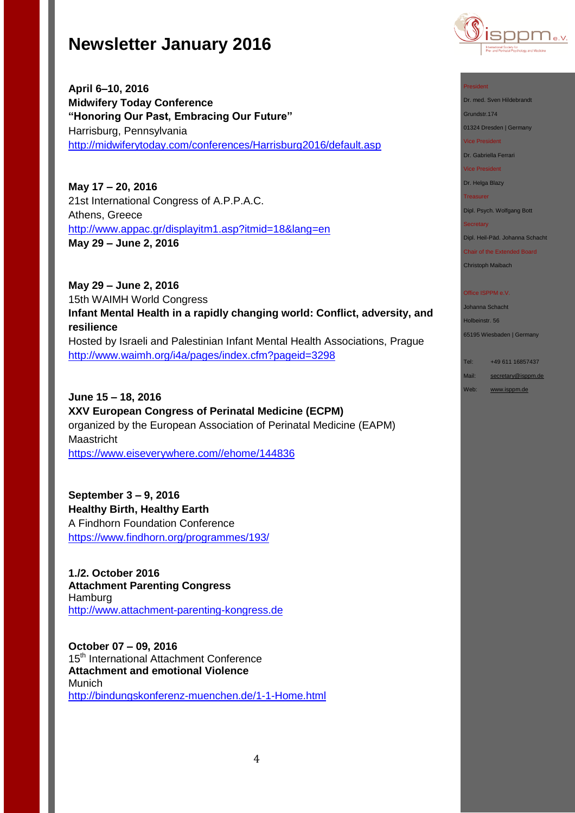

**April 6–10, 2016 Midwifery Today Conference "Honoring Our Past, Embracing Our Future"** Harrisburg, Pennsylvania <http://midwiferytoday.com/conferences/Harrisburg2016/default.asp>

**May 17 – 20, 2016** 21st International Congress of A.P.P.A.C. Athens, Greece <http://www.appac.gr/displayitm1.asp?itmid=18&lang=en> **May 29 – June 2, 2016**

**May 29 – June 2, 2016** 15th WAIMH World Congress **Infant Mental Health in a rapidly changing world: Conflict, adversity, and resilience** Hosted by Israeli and Palestinian Infant Mental Health Associations, Prague <http://www.waimh.org/i4a/pages/index.cfm?pageid=3298>

**June 15 – 18, 2016 XXV European Congress of Perinatal Medicine (ECPM)** organized by the European Association of Perinatal Medicine (EAPM) Maastricht [https://www.eiseverywhere.com//ehome/144836](https://www.eiseverywhere.com/ehome/144836)

**September 3 – 9, 2016 Healthy Birth, Healthy Earth** A Findhorn Foundation Conference <https://www.findhorn.org/programmes/193/>

**1./2. October 2016 Attachment Parenting Congress** Hamburg [http://www.attachment-parenting-kongress.de](http://www.attachment-parenting-kongress.de/)

**October 07 – 09, 2016**  15<sup>th</sup> International Attachment Conference **Attachment and emotional Violence** Munich <http://bindungskonferenz-muenchen.de/1-1-Home.html>

#### President

Dr. med. Sven Hildebrandt

Grundstr.174

01324 Dresden | Germany Vice President

Dr. Gabriella Ferrari

Vice President

Dr. Helga Blazy Treasurer

Dipl. Psych. Wolfgang Bott

#### **Secretary**

Dipl. Heil-Päd. Johanna Schacht

Chair of the Extended Board

Christoph Maibach

#### Office ISPPM e.V

Johanna Schacht Holbeinstr. 56 65195 Wiesbaden | Germany

Tel: +49 611 16857437

Mail: [secretary@isppm.de](mailto:secretary@isppm.de) Web: [www.isppm.de](http://www.isppm.de/)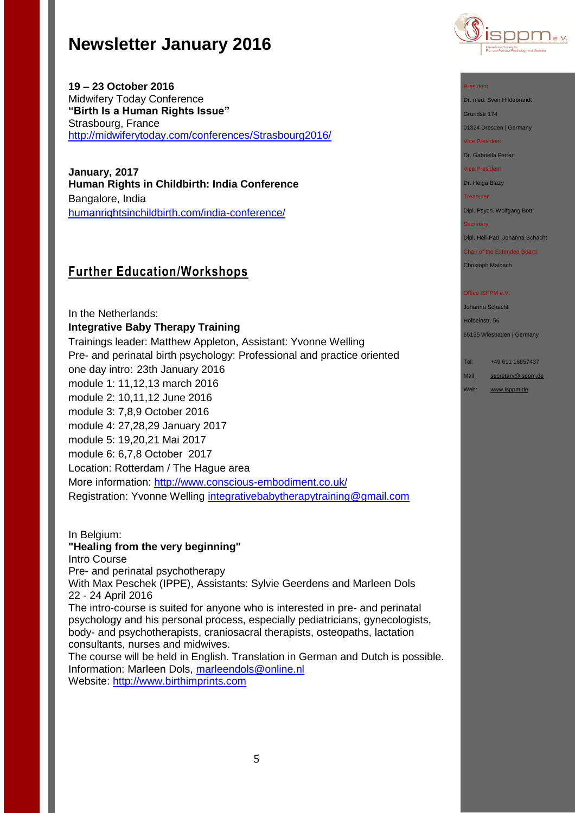

**19 – 23 October 2016** Midwifery Today Conference **"Birth Is a Human Rights Issue"** Strasbourg, France <http://midwiferytoday.com/conferences/Strasbourg2016/>

**January, 2017 Human Rights in Childbirth: India Conference** Bangalore, India [humanrightsinchildbirth.com/india-conference/](http://humanrightsinchildbirth.com/india-conference/)

# **Further Education/Workshops**

In the Netherlands: **Integrative Baby Therapy Training** Trainings leader: Matthew Appleton, Assistant: Yvonne Welling Pre- and perinatal birth psychology: Professional and practice oriented one day intro: 23th January 2016 module 1: 11,12,13 march 2016 module 2: 10,11,12 June 2016 module 3: 7,8,9 October 2016 module 4: 27,28,29 January 2017 module 5: 19,20,21 Mai 2017 module 6: 6,7,8 October 2017 Location: Rotterdam / The Hague area More information:<http://www.conscious-embodiment.co.uk/> Registration: Yvonne Welling [integrativebabytherapytraining@gmail.com](mailto:integrativebabytherapytraining@gmail.com)

In Belgium: **"Healing from the very beginning"** Intro Course Pre- and perinatal psychotherapy With Max Peschek (IPPE), Assistants: Sylvie Geerdens and Marleen Dols 22 - 24 April 2016 The intro-course is suited for anyone who is interested in pre- and perinatal psychology and his personal process, especially pediatricians, gynecologists, body- and psychotherapists, craniosacral therapists, osteopaths, lactation consultants, nurses and midwives.

The course will be held in English. Translation in German and Dutch is possible. Information: Marleen Dols, [marleendols@online.nl](mailto:marleendols@online.nl) Website: [http://www.birthimprints.com](http://www.birthimprints.com/)

#### President

Dr. med. Sven Hildebrandt

Grundstr.174

01324 Dresden | Germany

Vice President

Dr. Gabriella Ferrari

Vice President

Dr. Helga Blazy

**Treasurer** 

Dipl. Psych. Wolfgang Bott

#### **Secretary**

Dipl. Heil-Päd. Johanna Schacht

Chair of the Extended Board Christoph Maibach

#### Office ISPPM e.V

Johanna Schacht Holbeinstr. 56 65195 Wiesbaden | Germany

Tel: +49 611 16857437

Mail: [secretary@isppm.de](mailto:secretary@isppm.de)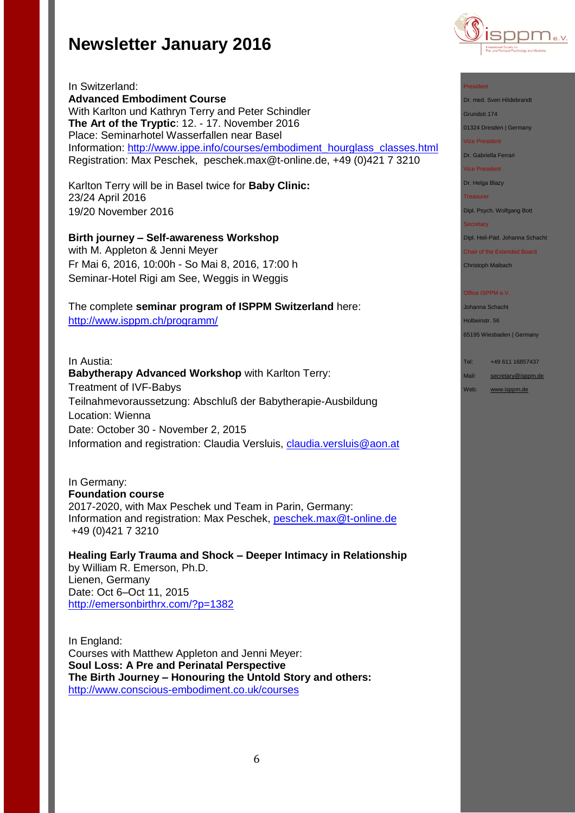

In Switzerland: **Advanced Embodiment Course** With Karlton und Kathryn Terry and Peter Schindler **The Art of the Tryptic**: 12. - 17. November 2016 Place: Seminarhotel Wasserfallen near Basel Information: [http://www.ippe.info/courses/embodiment\\_hourglass\\_classes.html](http://www.ippe.info/courses/embodiment_hourglass_classes.html)  Registration: Max Peschek, [peschek.max@t-online.de,](mailto:peschek.max@t-online.de) +49 (0)421 7 3210

Karlton Terry will be in Basel twice for **Baby Clinic:** 23/24 April 2016 19/20 November 2016

**Birth journey – Self-awareness Workshop**  with M. Appleton & Jenni Meyer Fr Mai 6, 2016, 10:00h - So Mai 8, 2016, 17:00 h Seminar-Hotel Rigi am See, Weggis in Weggis

The complete **seminar program of ISPPM Switzerland** here: <http://www.isppm.ch/programm/>

### In Austia:

**Babytherapy Advanced Workshop** with Karlton Terry: Treatment of IVF-Babys Teilnahmevoraussetzung: Abschluß der Babytherapie-Ausbildung Location: Wienna Date: October 30 - November 2, 2015 Information and registration: Claudia Versluis, [claudia.versluis@aon.at](mailto:claudia.versluis@aon.at)

In Germany: **Foundation course**  2017-2020, with Max Peschek und Team in Parin, Germany: Information and registration: Max Peschek, [peschek.max@t-online.de](mailto:peschek.max@t-online.de) +49 (0)421 7 3210

**Healing Early Trauma and Shock – Deeper Intimacy in Relationship** by William R. Emerson, Ph.D. Lienen, Germany Date: Oct 6–Oct 11, 2015 <http://emersonbirthrx.com/?p=1382>

In England: Courses with Matthew Appleton and Jenni Meyer: **Soul Loss: A Pre and Perinatal Perspective The Birth Journey – Honouring the Untold Story and others:** <http://www.conscious-embodiment.co.uk/courses>

#### President

Dr. med. Sven Hildebrandt

Grundstr.174

01324 Dresden | Germany

Vice President

Dr. Gabriella Ferrari

Vice President

Dr. Helga Blazy

Treasurer

Dipl. Psych. Wolfgang Bott

#### **Secretary**

Dipl. Heil-Päd. Johanna Schacht

Chair of the Extended Board Christoph Maibach

#### Office ISPPM e.V

Johanna Schacht Holbeinstr. 56

65195 Wiesbaden | Germany

Tel: +49 611 16857437

Mail: [secretary@isppm.de](mailto:secretary@isppm.de)